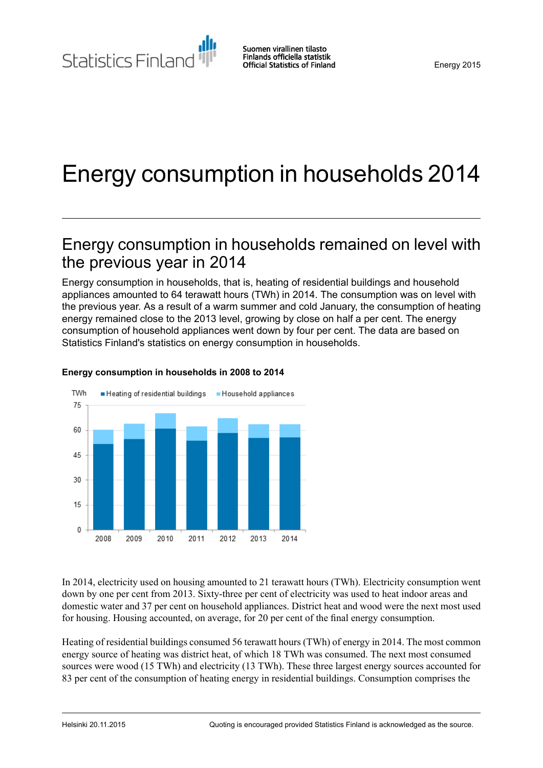Statistics Finland

# Energy consumption in households 2014

## Energy consumption in households remained on level with the previous year in 2014

Energy consumption in households, that is, heating of residential buildings and household appliances amounted to 64 terawatt hours (TWh) in 2014. The consumption was on level with the previous year. As a result of a warm summer and cold January, the consumption of heating energy remained close to the 2013 level, growing by close on half a per cent. The energy consumption of household appliances went down by four per cent. The data are based on Statistics Finland's statistics on energy consumption in households.



#### **Energy consumption in households in 2008 to 2014**

In 2014, electricity used on housing amounted to 21 terawatt hours (TWh). Electricity consumption went down by one per cent from 2013. Sixty-three per cent of electricity was used to heat indoor areas and domestic water and 37 per cent on household appliances. District heat and wood were the next most used for housing. Housing accounted, on average, for 20 per cent of the final energy consumption.

Heating of residential buildings consumed 56 terawatt hours (TWh) of energy in 2014. The most common energy source of heating was district heat, of which 18 TWh was consumed. The next most consumed sources were wood (15 TWh) and electricity (13 TWh). These three largest energy sources accounted for 83 per cent of the consumption of heating energy in residential buildings. Consumption comprises the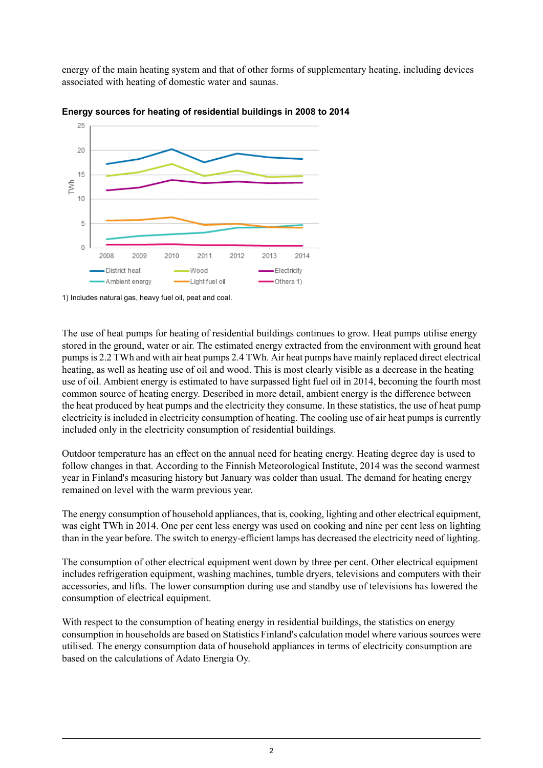energy of the main heating system and that of other forms of supplementary heating, including devices associated with heating of domestic water and saunas.





1) Includes natural gas, heavy fuel oil, peat and coal.

The use of heat pumps for heating of residential buildings continues to grow. Heat pumps utilise energy stored in the ground, water or air. The estimated energy extracted from the environment with ground heat pumpsis 2.2 TWh and with air heat pumps 2.4 TWh. Air heat pumps have mainly replaced direct electrical heating, as well as heating use of oil and wood. This is most clearly visible as a decrease in the heating use of oil. Ambient energy is estimated to have surpassed light fuel oil in 2014, becoming the fourth most common source of heating energy. Described in more detail, ambient energy is the difference between the heat produced by heat pumps and the electricity they consume. In these statistics, the use of heat pump electricity is included in electricity consumption of heating. The cooling use of air heat pumps is currently included only in the electricity consumption of residential buildings.

Outdoor temperature has an effect on the annual need for heating energy. Heating degree day is used to follow changes in that. According to the Finnish Meteorological Institute, 2014 was the second warmest year in Finland's measuring history but January was colder than usual. The demand for heating energy remained on level with the warm previous year.

The energy consumption of household appliances, that is, cooking, lighting and other electrical equipment, was eight TWh in 2014. One per cent less energy was used on cooking and nine per cent less on lighting than in the year before. The switch to energy-efficient lamps has decreased the electricity need of lighting.

The consumption of other electrical equipment went down by three per cent. Other electrical equipment includes refrigeration equipment, washing machines, tumble dryers, televisions and computers with their accessories, and lifts. The lower consumption during use and standby use of televisions has lowered the consumption of electrical equipment.

With respect to the consumption of heating energy in residential buildings, the statistics on energy consumption in households are based on Statistics Finland's calculation model where varioussources were utilised. The energy consumption data of household appliances in terms of electricity consumption are based on the calculations of Adato Energia Oy.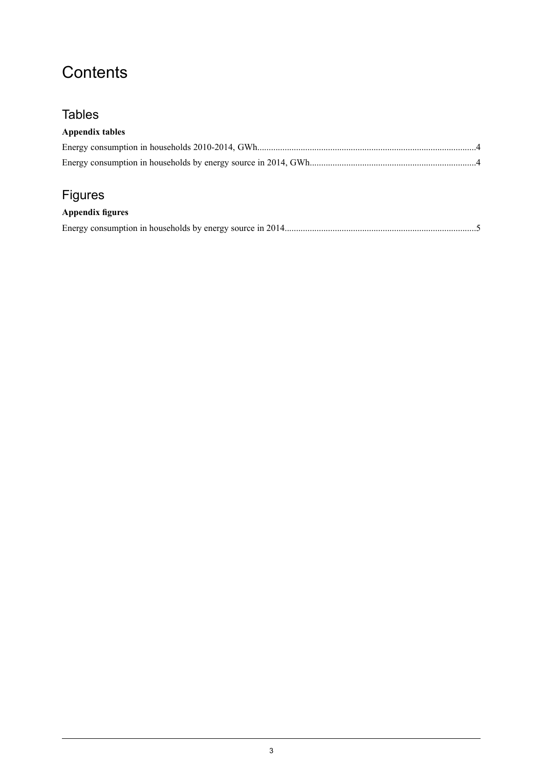## **Contents**

### **Tables**

### **Appendix tables**

## Figures

### **Appendix figures**

|--|--|--|--|--|--|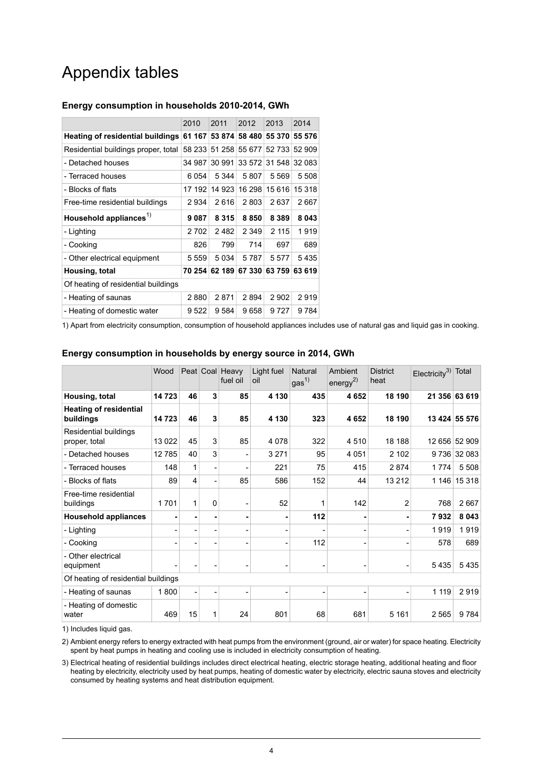## Appendix tables

#### <span id="page-3-0"></span>**Energy consumption in households 2010-2014, GWh**

|                                     | 2010    | 2011    | 2012    | 2013    | 2014   |  |  |  |  |
|-------------------------------------|---------|---------|---------|---------|--------|--|--|--|--|
| Heating of residential buildings    | 61 167  | 53 874  | 58 480  | 55 370  | 55 576 |  |  |  |  |
| Residential buildings proper, total | 58 233  | 51 258  | 55 677  | 52 733  | 52 909 |  |  |  |  |
| - Detached houses                   | 34 987  | 30 991  | 33 572  | 31 548  | 32 083 |  |  |  |  |
| - Terraced houses                   | 6 0 5 4 | 5 3 4 4 | 5807    | 5 5 6 9 | 5 508  |  |  |  |  |
| - Blocks of flats                   | 17 192  | 14 923  | 16 298  | 15 616  | 15 318 |  |  |  |  |
| Free-time residential buildings     | 2934    | 2616    | 2803    | 2637    | 2667   |  |  |  |  |
| Household appliances <sup>1)</sup>  | 9087    | 8 3 1 5 | 8850    | 8 3 8 9 | 8043   |  |  |  |  |
| - Lighting                          | 2702    | 2482    | 2 3 4 9 | 2 1 1 5 | 1919   |  |  |  |  |
| - Cooking                           | 826     | 799     | 714     | 697     | 689    |  |  |  |  |
| - Other electrical equipment        | 5 5 5 9 | 5 0 3 4 | 5787    | 5577    | 5435   |  |  |  |  |
| Housing, total                      | 70 254  | 62 189  | 67 330  | 63759   | 63 619 |  |  |  |  |
| Of heating of residential buildings |         |         |         |         |        |  |  |  |  |
| - Heating of saunas                 | 2880    | 2871    | 2894    | 2902    | 2919   |  |  |  |  |
| - Heating of domestic water         | 9 5 22  | 9584    | 9658    | 9 7 2 7 | 9784   |  |  |  |  |

<span id="page-3-1"></span>1) Apart from electricity consumption, consumption of household appliances includes use of natural gas and liquid gas in cooking.

|                                            | Wood    |    |   | Peat Coal Heavy<br>fuel oil | Light fuel<br>oil | Natural<br>gas <sup>1</sup> | Ambient<br>energy <sup>2)</sup> | <b>District</b><br>heat | $Electicity3$ Total |               |
|--------------------------------------------|---------|----|---|-----------------------------|-------------------|-----------------------------|---------------------------------|-------------------------|---------------------|---------------|
| Housing, total                             | 14723   | 46 | 3 | 85                          | 4 1 3 0           | 435                         | 4652                            | 18 190                  |                     | 21 356 63 619 |
| <b>Heating of residential</b><br>buildings | 14723   | 46 | 3 | 85                          | 4 1 3 0           | 323                         | 4652                            | 18 190                  |                     | 13 424 55 576 |
| Residential buildings<br>proper, total     | 13 0 22 | 45 | 3 | 85                          | 4 0 7 8           | 322                         | 4510                            | 18 188                  |                     | 12 656 52 909 |
| - Detached houses                          | 12785   | 40 | 3 |                             | 3 2 7 1           | 95                          | 4 0 5 1                         | 2 102                   |                     | 9736 32 083   |
| - Terraced houses                          | 148     | 1  |   |                             | 221               | 75                          | 415                             | 2874                    | 1774                | 5 5 0 8       |
| - Blocks of flats                          | 89      | 4  |   | 85                          | 586               | 152                         | 44                              | 13 212                  |                     | 1 146 15 318  |
| Free-time residential<br>buildings         | 1701    | 1  | 0 |                             | 52                | 1                           | 142                             | 2                       | 768                 | 2667          |
| <b>Household appliances</b>                |         |    |   |                             |                   | 112                         |                                 |                         | 7932                | 8 0 4 3       |
| - Lighting                                 |         |    |   |                             |                   |                             |                                 |                         | 1919                | 1919          |
| - Cooking                                  |         |    |   |                             |                   | 112                         |                                 |                         | 578                 | 689           |
| - Other electrical<br>equipment            |         |    |   |                             | -                 |                             |                                 |                         | 5435                | 5435          |
| Of heating of residential buildings        |         |    |   |                             |                   |                             |                                 |                         |                     |               |
| - Heating of saunas                        | 1800    |    |   | -                           | -                 | $\overline{\phantom{a}}$    | -                               |                         | 1 1 1 9             | 2919          |
| - Heating of domestic<br>water             | 469     | 15 |   | 24                          | 801               | 68                          | 681                             | 5 1 6 1                 | 2565                | 9784          |

#### **Energy consumption in households by energy source in 2014, GWh**

1) Includes liquid gas.

2) Ambient energy refers to energy extracted with heat pumps from the environment (ground, air or water) for space heating. Electricity spent by heat pumps in heating and cooling use is included in electricity consumption of heating.

Electrical heating of residential buildings includes direct electrical heating, electric storage heating, additional heating and floor 3) heating by electricity, electricity used by heat pumps, heating of domestic water by electricity, electric sauna stoves and electricity consumed by heating systems and heat distribution equipment.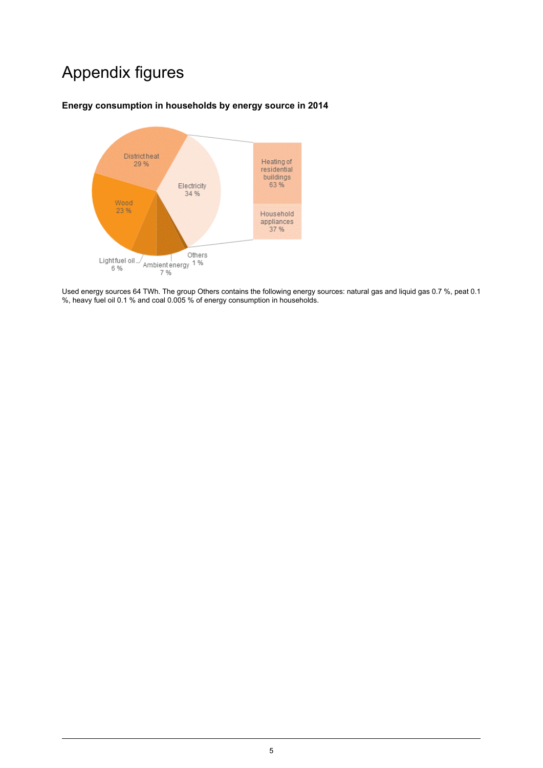## Appendix figures

#### <span id="page-4-0"></span>**Energy consumption in households by energy source in 2014**



Used energy sources 64 TWh. The group Others contains the following energy sources: natural gas and liquid gas 0.7 %, peat 0.1 %, heavy fuel oil 0.1 % and coal 0.005 % of energy consumption in households.